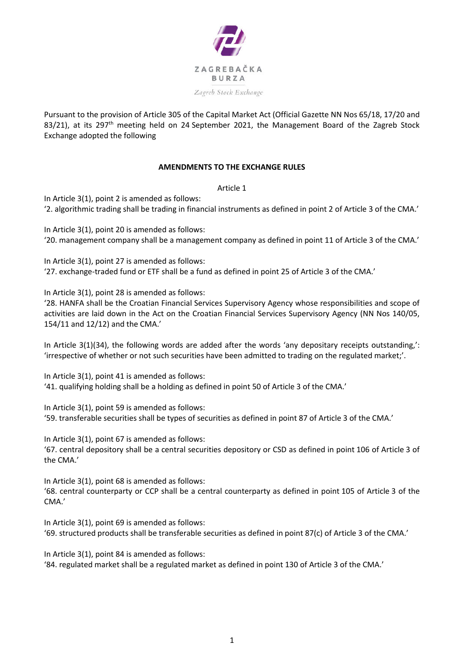

Pursuant to the provision of Article 305 of the Capital Market Act (Official Gazette NN Nos 65/18, 17/20 and 83/21), at its 297<sup>th</sup> meeting held on 24 September 2021, the Management Board of the Zagreb Stock Exchange adopted the following

## **AMENDMENTS TO THE EXCHANGE RULES**

### Article 1

In Article 3(1), point 2 is amended as follows:

'2. algorithmic trading shall be trading in financial instruments as defined in point 2 of Article 3 of the CMA.'

In Article 3(1), point 20 is amended as follows: '20. management company shall be a management company as defined in point 11 of Article 3 of the CMA.'

In Article 3(1), point 27 is amended as follows: '27. exchange-traded fund or ETF shall be a fund as defined in point 25 of Article 3 of the CMA.'

In Article 3(1), point 28 is amended as follows:

'28. HANFA shall be the Croatian Financial Services Supervisory Agency whose responsibilities and scope of activities are laid down in the Act on the Croatian Financial Services Supervisory Agency (NN Nos 140/05, 154/11 and 12/12) and the CMA.'

In Article 3(1)(34), the following words are added after the words 'any depositary receipts outstanding,': 'irrespective of whether or not such securities have been admitted to trading on the regulated market;'.

In Article 3(1), point 41 is amended as follows: '41. qualifying holding shall be a holding as defined in point 50 of Article 3 of the CMA.'

In Article 3(1), point 59 is amended as follows: '59. transferable securities shall be types of securities as defined in point 87 of Article 3 of the CMA.'

In Article 3(1), point 67 is amended as follows:

'67. central depository shall be a central securities depository or CSD as defined in point 106 of Article 3 of the CMA.'

In Article 3(1), point 68 is amended as follows:

'68. central counterparty or CCP shall be a central counterparty as defined in point 105 of Article 3 of the CMA.'

In Article 3(1), point 69 is amended as follows: '69. structured products shall be transferable securities as defined in point 87(c) of Article 3 of the CMA.'

In Article 3(1), point 84 is amended as follows: '84. regulated market shall be a regulated market as defined in point 130 of Article 3 of the CMA.'